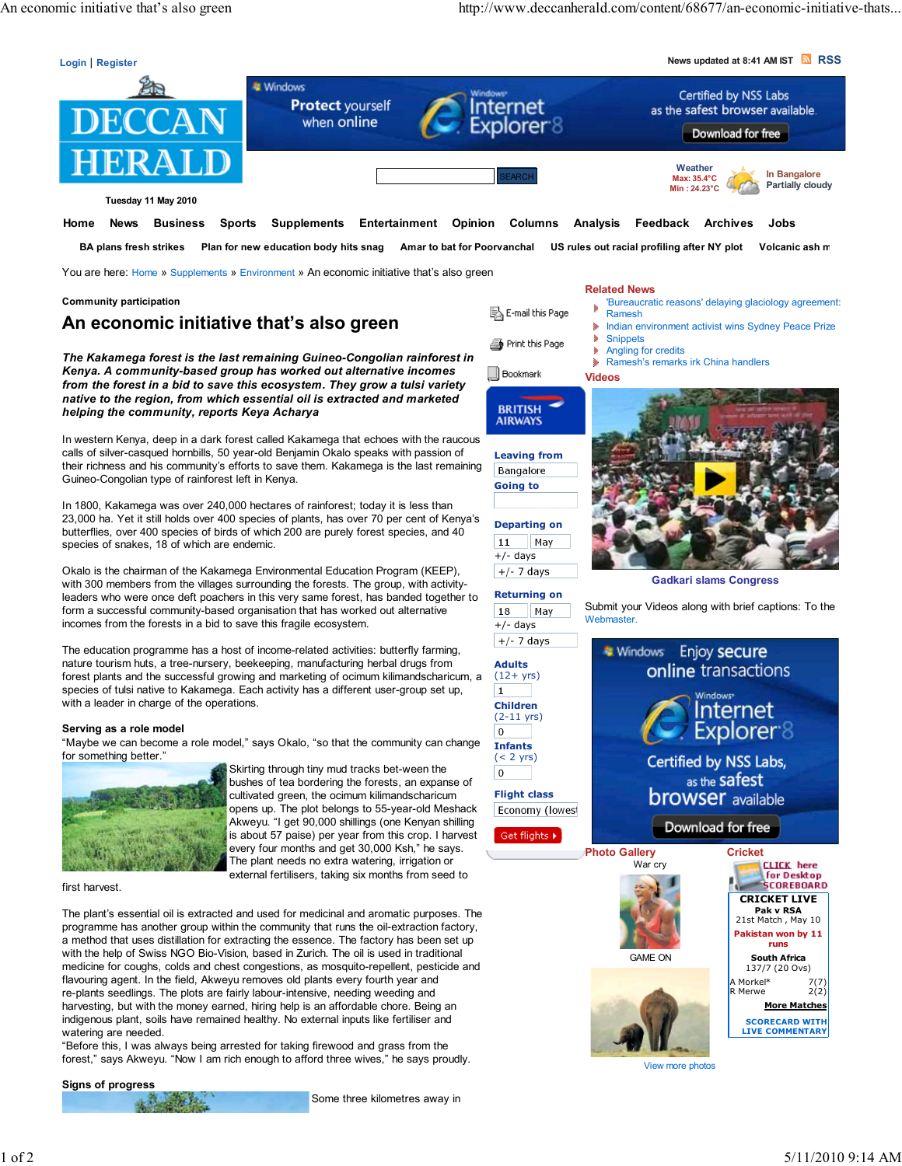

Tuesday 11 May 2010

 Home News Business Sports Supplements Entertainment Opinion Columns Analysis Feedback Archives Jobs BA plans fresh strikes Plan for new education body hits snag Amar to bat for Poorvanchal US rules out racial profiling after NY plot Volcanic ash m

You are here: Home » Supplements » Environment » An economic initiative that's also green

#### Community participation

# An economic initiative that's also green

The Kakamega forest is the last remaining Guineo-Congolian rainforest in Kenya. A community-based group has worked out alternative incomes from the forest in a bid to save this ecosystem. They grow a tulsi variety native to the region, from which essential oil is extracted and marketed helping the community, reports Keya Acharya

In western Kenya, deep in a dark forest called Kakamega that echoes with the raucous calls of silver-casqued hornbills, 50 year-old Benjamin Okalo speaks with passion of their richness and his community's efforts to save them. Kakamega is the last remaining Guineo-Congolian type of rainforest left in Kenya.

In 1800, Kakamega was over 240,000 hectares of rainforest; today it is less than 23,000 ha. Yet it still holds over 400 species of plants, has over 70 per cent of Kenya's butterflies, over 400 species of birds of which 200 are purely forest species, and 40 species of snakes, 18 of which are endemic.

Okalo is the chairman of the Kakamega Environmental Education Program (KEEP), with 300 members from the villages surrounding the forests. The group, with activityleaders who were once deft poachers in this very same forest, has banded together to form a successful community-based organisation that has worked out alternative incomes from the forests in a bid to save this fragile ecosystem.

The education programme has a host of income-related activities: butterfly farming, nature tourism huts, a tree-nursery, beekeeping, manufacturing herbal drugs from forest plants and the successful growing and marketing of ocimum kilimandscharicum, a species of tulsi native to Kakamega. Each activity has a different user-group set up, with a leader in charge of the operations.

#### Serving as a role model

"Maybe we can become a role model," says Okalo, "so that the community can change for something better."



Skirting through tiny mud tracks bet-ween the bushes of tea bordering the forests, an expanse of cultivated green, the ocimum kilimandscharicum opens up. The plot belongs to 55-year-old Meshack Akweyu. "I get 90,000 shillings (one Kenyan shilling is about 57 paise) per year from this crop. I harvest every four months and get 30,000 Ksh," he says. The plant needs no extra watering, irrigation or external fertilisers, taking six months from seed to

first harvest.

The plant's essential oil is extracted and used for medicinal and aromatic purposes. The programme has another group within the community that runs the oil-extraction factory, a method that uses distillation for extracting the essence. The factory has been set up with the help of Swiss NGO Bio-Vision, based in Zurich. The oil is used in traditional medicine for coughs, colds and chest congestions, as mosquito-repellent, pesticide and flavouring agent. In the field, Akweyu removes old plants every fourth year and re-plants seedlings. The plots are fairly labour-intensive, needing weeding and harvesting, but with the money earned, hiring help is an affordable chore. Being an indigenous plant, soils have remained healthy. No external inputs like fertiliser and watering are needed.

"Before this, I was always being arrested for taking firewood and grass from the forest," says Akweyu. "Now I am rich enough to afford three wives," he says proudly.

#### Signs of progress

Some three kilometres away in

#### Related News

- 'Bureaucratic reasons' delaying glaciology agreement: ð Ramesh
- Indian environment activist wins Sydney Peace Prize
- Snippets ð.
	- Angling for credits ¥ Ramesh's remarks irk China handlers

#### $\Box$  Bookmark Videos



图 E-mail this Page

Print this Page

Bangalore Going to

Departing on May  $|11$ 

Returning on

May

+/- days

**18** 

 $\mathbf 1$ 

 $\overline{\textbf{0}}$ 

 $\overline{0}$ 

 $| +/- 7$  days



Gadkari slams Congress

Submit your Videos along with brief captions: To the Webmaster.



View more photos

LIVE COMMENTARY